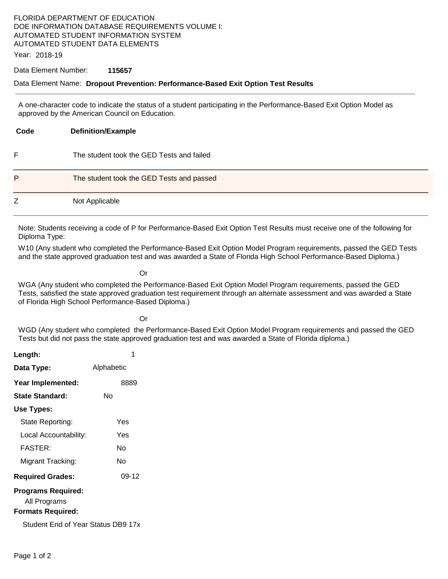## FLORIDA DEPARTMENT OF EDUCATION DOE INFORMATION DATABASE REQUIREMENTS VOLUME I: AUTOMATED STUDENT INFORMATION SYSTEM AUTOMATED STUDENT DATA ELEMENTS

Year: 2018-19

#### Data Element Number: **115657**

### Data Element Name: **Dropout Prevention: Performance-Based Exit Option Test Results**

A one-character code to indicate the status of a student participating in the Performance-Based Exit Option Model as approved by the American Council on Education.

| Code | <b>Definition/Example</b>                 |
|------|-------------------------------------------|
| F    | The student took the GED Tests and failed |
| P    | The student took the GED Tests and passed |
| Z    | Not Applicable                            |

Note: Students receiving a code of P for Performance-Based Exit Option Test Results must receive one of the following for Diploma Type:

W10 (Any student who completed the Performance-Based Exit Option Model Program requirements, passed the GED Tests and the state approved graduation test and was awarded a State of Florida High School Performance-Based Diploma.)

**Contact Contact Contact Contact Contact Contact Contact Contact Contact Contact Contact Contact Contact Contact** 

WGA (Any student who completed the Performance-Based Exit Option Model Program requirements, passed the GED Tests, satisfied the state approved graduation test requirement through an alternate assessment and was awarded a State of Florida High School Performance-Based Diploma.)

**Contact Contact Contact Contact Contact Contact Contact Contact Contact Contact Contact Contact Contact Contact** 

WGD (Any student who completed the Performance-Based Exit Option Model Program requirements and passed the GED Tests but did not pass the state approved graduation test and was awarded a State of Florida diploma.)

| Length:                            | 1          |  |  |
|------------------------------------|------------|--|--|
| Data Type:                         | Alphabetic |  |  |
| Year Implemented:                  | 8889       |  |  |
| <b>State Standard:</b>             | N٥         |  |  |
| Use Types:                         |            |  |  |
| State Reporting:                   | Yes        |  |  |
| Local Accountability:              | Yes        |  |  |
| <b>FASTER:</b>                     | N٥         |  |  |
| Migrant Tracking:                  | N٥         |  |  |
| <b>Required Grades:</b>            | 09-12      |  |  |
| <b>Programs Required:</b>          |            |  |  |
| All Programs                       |            |  |  |
| <b>Formats Required:</b>           |            |  |  |
| Student End of Year Status DB9 17x |            |  |  |